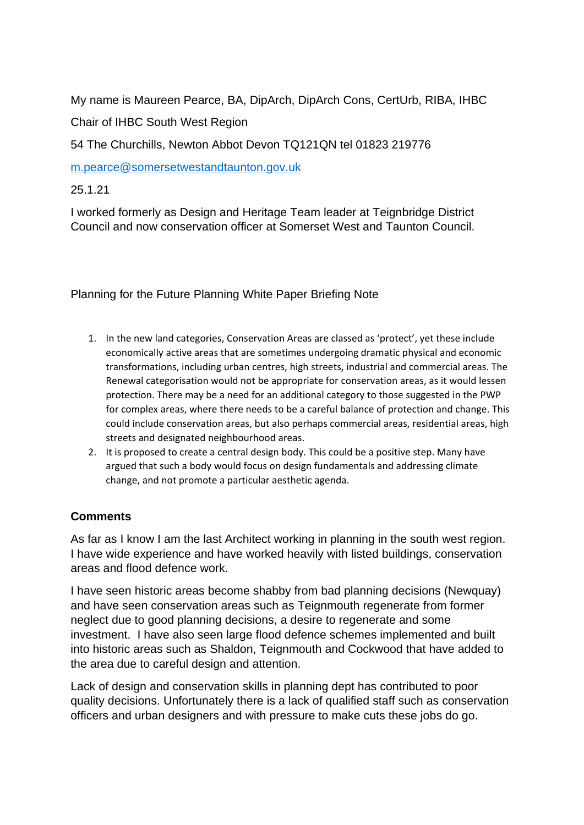My name is Maureen Pearce, BA, DipArch, DipArch Cons, CertUrb, RIBA, IHBC Chair of IHBC South West Region

54 The Churchills, Newton Abbot Devon TQ121QN tel 01823 219776

[m.pearce@somersetwestandtaunton.gov.uk](mailto:m.pearce@somersetwestandtaunton.gov.uk)

25.1.21

I worked formerly as Design and Heritage Team leader at Teignbridge District Council and now conservation officer at Somerset West and Taunton Council.

Planning for the Future Planning White Paper Briefing Note

- 1. In the new land categories, Conservation Areas are classed as 'protect', yet these include economically active areas that are sometimes undergoing dramatic physical and economic transformations, including urban centres, high streets, industrial and commercial areas. The Renewal categorisation would not be appropriate for conservation areas, as it would lessen protection. There may be a need for an additional category to those suggested in the PWP for complex areas, where there needs to be a careful balance of protection and change. This could include conservation areas, but also perhaps commercial areas, residential areas, high streets and designated neighbourhood areas.
- 2. It is proposed to create a central design body. This could be a positive step. Many have argued that such a body would focus on design fundamentals and addressing climate change, and not promote a particular aesthetic agenda.

## **Comments**

As far as I know I am the last Architect working in planning in the south west region. I have wide experience and have worked heavily with listed buildings, conservation areas and flood defence work.

I have seen historic areas become shabby from bad planning decisions (Newquay) and have seen conservation areas such as Teignmouth regenerate from former neglect due to good planning decisions, a desire to regenerate and some investment. I have also seen large flood defence schemes implemented and built into historic areas such as Shaldon, Teignmouth and Cockwood that have added to the area due to careful design and attention.

Lack of design and conservation skills in planning dept has contributed to poor quality decisions. Unfortunately there is a lack of qualified staff such as conservation officers and urban designers and with pressure to make cuts these jobs do go.